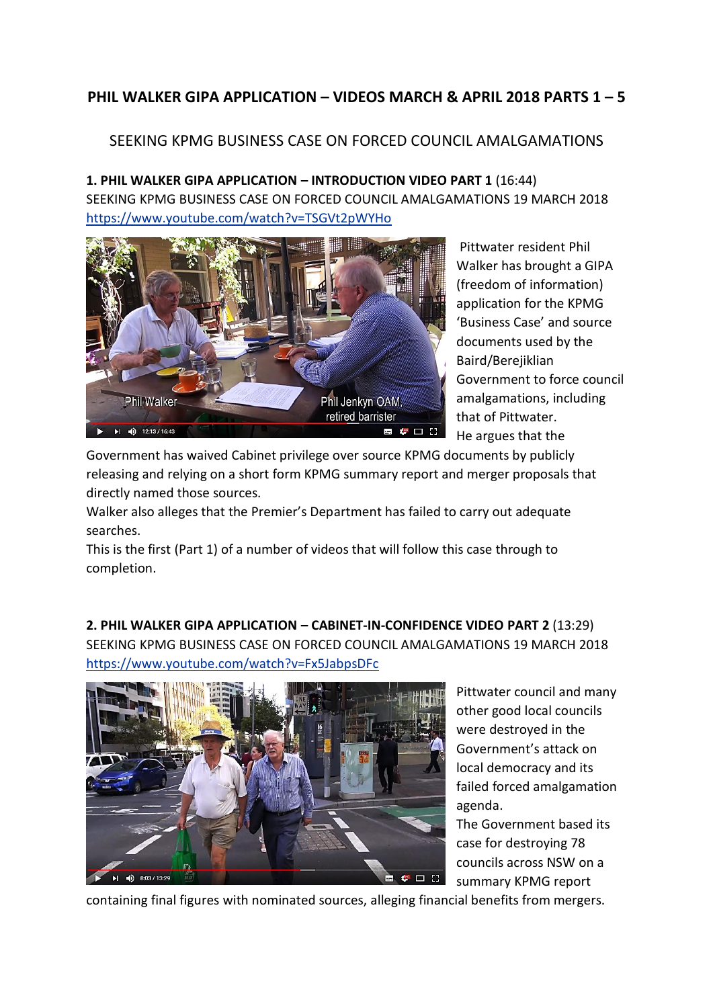## **PHIL WALKER GIPA APPLICATION – VIDEOS MARCH & APRIL 2018 PARTS 1 – 5**

## SEEKING KPMG BUSINESS CASE ON FORCED COUNCIL AMALGAMATIONS

**1. PHIL WALKER GIPA APPLICATION – INTRODUCTION VIDEO PART 1** (16:44) SEEKING KPMG BUSINESS CASE ON FORCED COUNCIL AMALGAMATIONS 19 MARCH 2018 <https://www.youtube.com/watch?v=TSGVt2pWYHo>



Pittwater resident Phil Walker has brought a GIPA (freedom of information) application for the KPMG 'Business Case' and source documents used by the Baird/Berejiklian Government to force council amalgamations, including that of Pittwater. He argues that the

Government has waived Cabinet privilege over source KPMG documents by publicly releasing and relying on a short form KPMG summary report and merger proposals that directly named those sources.

Walker also alleges that the Premier's Department has failed to carry out adequate searches.

This is the first (Part 1) of a number of videos that will follow this case through to completion.

**2. PHIL WALKER GIPA APPLICATION – CABINET-IN-CONFIDENCE VIDEO PART 2** (13:29) SEEKING KPMG BUSINESS CASE ON FORCED COUNCIL AMALGAMATIONS 19 MARCH 2018 <https://www.youtube.com/watch?v=Fx5JabpsDFc>



Pittwater council and many other good local councils were destroyed in the Government's attack on local democracy and its failed forced amalgamation agenda.

The Government based its case for destroying 78 councils across NSW on a summary KPMG report

containing final figures with nominated sources, alleging financial benefits from mergers.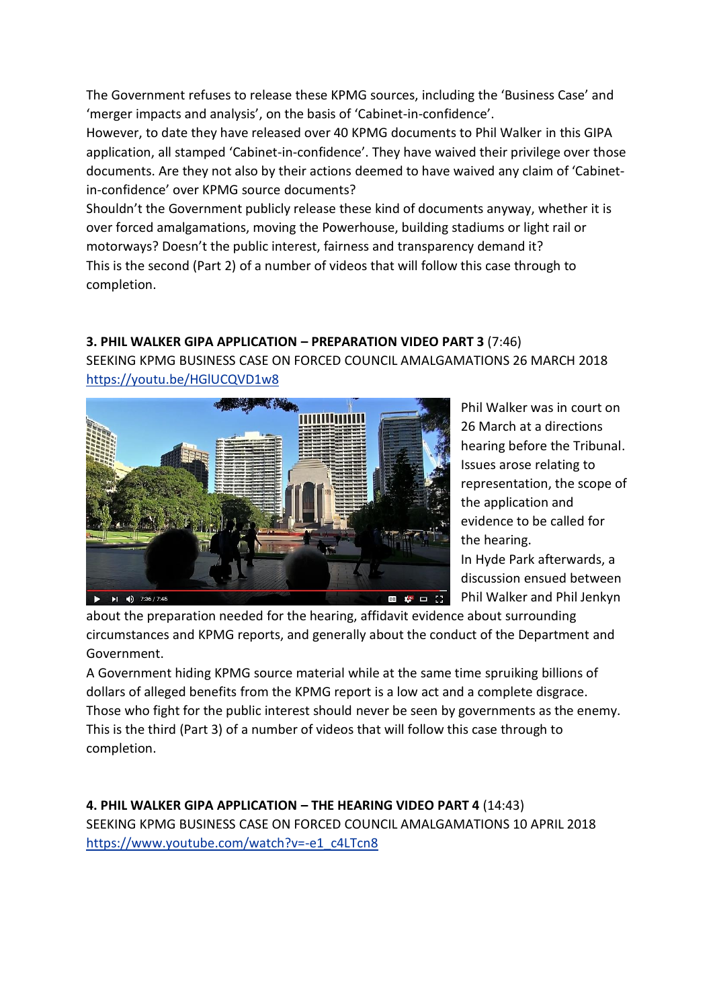The Government refuses to release these KPMG sources, including the 'Business Case' and 'merger impacts and analysis', on the basis of 'Cabinet-in-confidence'.

However, to date they have released over 40 KPMG documents to Phil Walker in this GIPA application, all stamped 'Cabinet-in-confidence'. They have waived their privilege over those documents. Are they not also by their actions deemed to have waived any claim of 'Cabinetin-confidence' over KPMG source documents?

Shouldn't the Government publicly release these kind of documents anyway, whether it is over forced amalgamations, moving the Powerhouse, building stadiums or light rail or motorways? Doesn't the public interest, fairness and transparency demand it? This is the second (Part 2) of a number of videos that will follow this case through to completion.

## **3. PHIL WALKER GIPA APPLICATION – PREPARATION VIDEO PART 3** (7:46)

SEEKING KPMG BUSINESS CASE ON FORCED COUNCIL AMALGAMATIONS 26 MARCH 2018 <https://youtu.be/HGlUCQVD1w8>



Phil Walker was in court on 26 March at a directions hearing before the Tribunal. Issues arose relating to representation, the scope of the application and evidence to be called for the hearing. In Hyde Park afterwards, a discussion ensued between Phil Walker and Phil Jenkyn

about the preparation needed for the hearing, affidavit evidence about surrounding circumstances and KPMG reports, and generally about the conduct of the Department and Government.

A Government hiding KPMG source material while at the same time spruiking billions of dollars of alleged benefits from the KPMG report is a low act and a complete disgrace. Those who fight for the public interest should never be seen by governments as the enemy. This is the third (Part 3) of a number of videos that will follow this case through to completion.

**4. PHIL WALKER GIPA APPLICATION – THE HEARING VIDEO PART 4** (14:43) SEEKING KPMG BUSINESS CASE ON FORCED COUNCIL AMALGAMATIONS 10 APRIL 2018 [https://www.youtube.com/watch?v=-e1\\_c4LTcn8](https://www.youtube.com/watch?v=-e1_c4LTcn8)